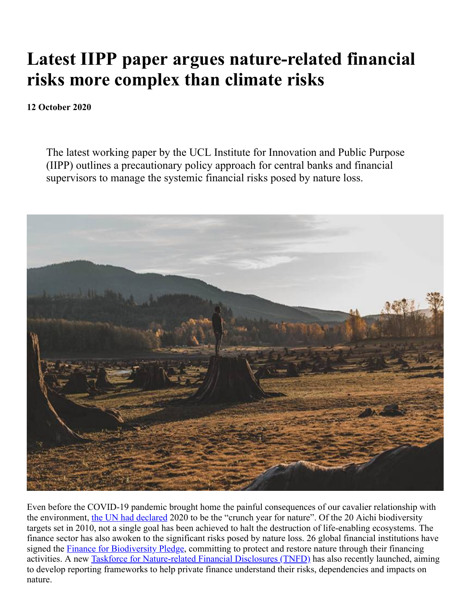## **Latest IIPP paper argues nature-related financial risks more complex than climate risks**

## **12 October 2020**

The latest working paper by the UCL Institute for Innovation and Public Purpose (IIPP) outlines a precautionary policy approach for central banks and financial supervisors to manage the systemic financial risks posed by nature loss.



Even before the COVID-19 pandemic brought home the painful consequences of our cavalier relationship with the environment, [the UN had declared](https://www.unenvironment.org/news-and-stories/story/2020-crunch-year-biodiversity-and-climate-emergencies) 2020 to be the "crunch year for nature". Of the 20 Aichi biodiversity targets set in 2010, not a single goal has been achieved to halt the destruction of life-enabling ecosystems. The finance sector has also awoken to the significant risks posed by nature loss. 26 global financial institutions have signed the [Finance for Biodiversity Pledge,](https://www.financeforbiodiversity.org/) committing to protect and restore nature through their financing activities. A new **[Taskforce for Nature-related Financial Disclosures \(TNFD\)](https://tnfd.info/)** has also recently launched, aiming to develop reporting frameworks to help private finance understand their risks, dependencies and impacts on nature.